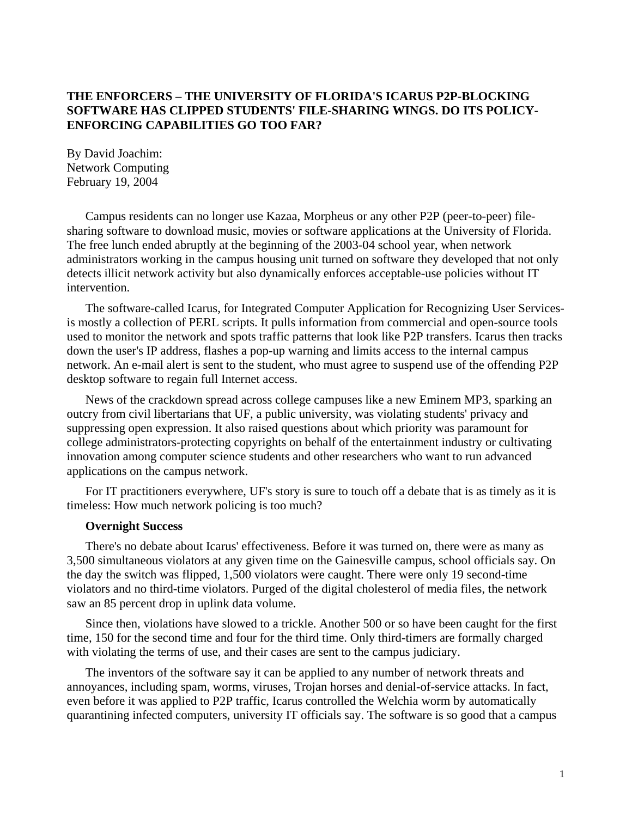# **THE ENFORCERS – THE UNIVERSITY OF FLORIDA'S ICARUS P2P-BLOCKING SOFTWARE HAS CLIPPED STUDENTS' FILE-SHARING WINGS. DO ITS POLICY-ENFORCING CAPABILITIES GO TOO FAR?**

By David Joachim: Network Computing February 19, 2004

Campus residents can no longer use Kazaa, Morpheus or any other P2P (peer-to-peer) filesharing software to download music, movies or software applications at the University of Florida. The free lunch ended abruptly at the beginning of the 2003-04 school year, when network administrators working in the campus housing unit turned on software they developed that not only detects illicit network activity but also dynamically enforces acceptable-use policies without IT intervention.

The software-called Icarus, for Integrated Computer Application for Recognizing User Servicesis mostly a collection of PERL scripts. It pulls information from commercial and open-source tools used to monitor the network and spots traffic patterns that look like P2P transfers. Icarus then tracks down the user's IP address, flashes a pop-up warning and limits access to the internal campus network. An e-mail alert is sent to the student, who must agree to suspend use of the offending P2P desktop software to regain full Internet access.

News of the crackdown spread across college campuses like a new Eminem MP3, sparking an outcry from civil libertarians that UF, a public university, was violating students' privacy and suppressing open expression. It also raised questions about which priority was paramount for college administrators-protecting copyrights on behalf of the entertainment industry or cultivating innovation among computer science students and other researchers who want to run advanced applications on the campus network.

For IT practitioners everywhere, UF's story is sure to touch off a debate that is as timely as it is timeless: How much network policing is too much?

## **Overnight Success**

There's no debate about Icarus' effectiveness. Before it was turned on, there were as many as 3,500 simultaneous violators at any given time on the Gainesville campus, school officials say. On the day the switch was flipped, 1,500 violators were caught. There were only 19 second-time violators and no third-time violators. Purged of the digital cholesterol of media files, the network saw an 85 percent drop in uplink data volume.

Since then, violations have slowed to a trickle. Another 500 or so have been caught for the first time, 150 for the second time and four for the third time. Only third-timers are formally charged with violating the terms of use, and their cases are sent to the campus judiciary.

The inventors of the software say it can be applied to any number of network threats and annoyances, including spam, worms, viruses, Trojan horses and denial-of-service attacks. In fact, even before it was applied to P2P traffic, Icarus controlled the Welchia worm by automatically quarantining infected computers, university IT officials say. The software is so good that a campus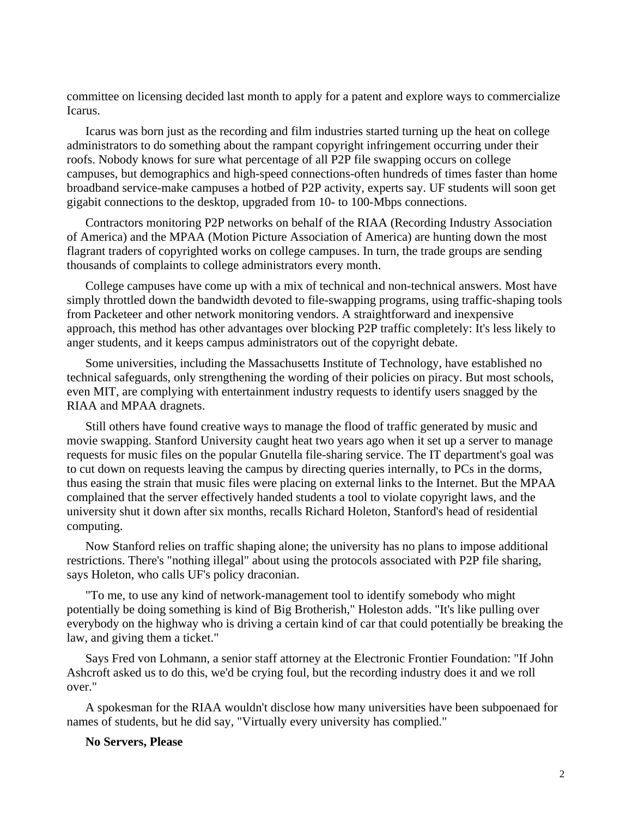committee on licensing decided last month to apply for a patent and explore ways to commercialize Icarus.

Icarus was born just as the recording and film industries started turning up the heat on college administrators to do something about the rampant copyright infringement occurring under their roofs. Nobody knows for sure what percentage of all P2P file swapping occurs on college campuses, but demographics and high-speed connections-often hundreds of times faster than home broadband service-make campuses a hotbed of P2P activity, experts say. UF students will soon get gigabit connections to the desktop, upgraded from 10- to 100-Mbps connections.

Contractors monitoring P2P networks on behalf of the RIAA (Recording Industry Association of America) and the MPAA (Motion Picture Association of America) are hunting down the most flagrant traders of copyrighted works on college campuses. In turn, the trade groups are sending thousands of complaints to college administrators every month.

College campuses have come up with a mix of technical and non-technical answers. Most have simply throttled down the bandwidth devoted to file-swapping programs, using traffic-shaping tools from Packeteer and other network monitoring vendors. A straightforward and inexpensive approach, this method has other advantages over blocking P2P traffic completely: It's less likely to anger students, and it keeps campus administrators out of the copyright debate.

Some universities, including the Massachusetts Institute of Technology, have established no technical safeguards, only strengthening the wording of their policies on piracy. But most schools, even MIT, are complying with entertainment industry requests to identify users snagged by the RIAA and MPAA dragnets.

Still others have found creative ways to manage the flood of traffic generated by music and movie swapping. Stanford University caught heat two years ago when it set up a server to manage requests for music files on the popular Gnutella file-sharing service. The IT department's goal was to cut down on requests leaving the campus by directing queries internally, to PCs in the dorms, thus easing the strain that music files were placing on external links to the Internet. But the MPAA complained that the server effectively handed students a tool to violate copyright laws, and the university shut it down after six months, recalls Richard Holeton, Stanford's head of residential computing.

Now Stanford relies on traffic shaping alone; the university has no plans to impose additional restrictions. There's "nothing illegal" about using the protocols associated with P2P file sharing, says Holeton, who calls UF's policy draconian.

"To me, to use any kind of network-management tool to identify somebody who might potentially be doing something is kind of Big Brotherish," Holeston adds. "It's like pulling over everybody on the highway who is driving a certain kind of car that could potentially be breaking the law, and giving them a ticket."

Says Fred von Lohmann, a senior staff attorney at the Electronic Frontier Foundation: "If John Ashcroft asked us to do this, we'd be crying foul, but the recording industry does it and we roll over."

A spokesman for the RIAA wouldn't disclose how many universities have been subpoenaed for names of students, but he did say, "Virtually every university has complied."

## **No Servers, Please**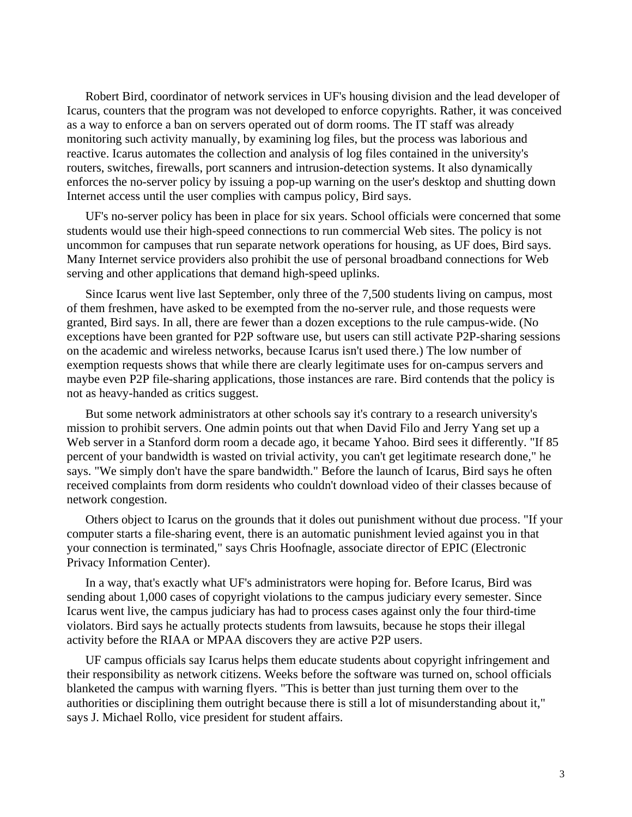Robert Bird, coordinator of network services in UF's housing division and the lead developer of Icarus, counters that the program was not developed to enforce copyrights. Rather, it was conceived as a way to enforce a ban on servers operated out of dorm rooms. The IT staff was already monitoring such activity manually, by examining log files, but the process was laborious and reactive. Icarus automates the collection and analysis of log files contained in the university's routers, switches, firewalls, port scanners and intrusion-detection systems. It also dynamically enforces the no-server policy by issuing a pop-up warning on the user's desktop and shutting down Internet access until the user complies with campus policy, Bird says.

UF's no-server policy has been in place for six years. School officials were concerned that some students would use their high-speed connections to run commercial Web sites. The policy is not uncommon for campuses that run separate network operations for housing, as UF does, Bird says. Many Internet service providers also prohibit the use of personal broadband connections for Web serving and other applications that demand high-speed uplinks.

Since Icarus went live last September, only three of the 7,500 students living on campus, most of them freshmen, have asked to be exempted from the no-server rule, and those requests were granted, Bird says. In all, there are fewer than a dozen exceptions to the rule campus-wide. (No exceptions have been granted for P2P software use, but users can still activate P2P-sharing sessions on the academic and wireless networks, because Icarus isn't used there.) The low number of exemption requests shows that while there are clearly legitimate uses for on-campus servers and maybe even P2P file-sharing applications, those instances are rare. Bird contends that the policy is not as heavy-handed as critics suggest.

But some network administrators at other schools say it's contrary to a research university's mission to prohibit servers. One admin points out that when David Filo and Jerry Yang set up a Web server in a Stanford dorm room a decade ago, it became Yahoo. Bird sees it differently. "If 85 percent of your bandwidth is wasted on trivial activity, you can't get legitimate research done," he says. "We simply don't have the spare bandwidth." Before the launch of Icarus, Bird says he often received complaints from dorm residents who couldn't download video of their classes because of network congestion.

Others object to Icarus on the grounds that it doles out punishment without due process. "If your computer starts a file-sharing event, there is an automatic punishment levied against you in that your connection is terminated," says Chris Hoofnagle, associate director of EPIC (Electronic Privacy Information Center).

In a way, that's exactly what UF's administrators were hoping for. Before Icarus, Bird was sending about 1,000 cases of copyright violations to the campus judiciary every semester. Since Icarus went live, the campus judiciary has had to process cases against only the four third-time violators. Bird says he actually protects students from lawsuits, because he stops their illegal activity before the RIAA or MPAA discovers they are active P2P users.

UF campus officials say Icarus helps them educate students about copyright infringement and their responsibility as network citizens. Weeks before the software was turned on, school officials blanketed the campus with warning flyers. "This is better than just turning them over to the authorities or disciplining them outright because there is still a lot of misunderstanding about it," says J. Michael Rollo, vice president for student affairs.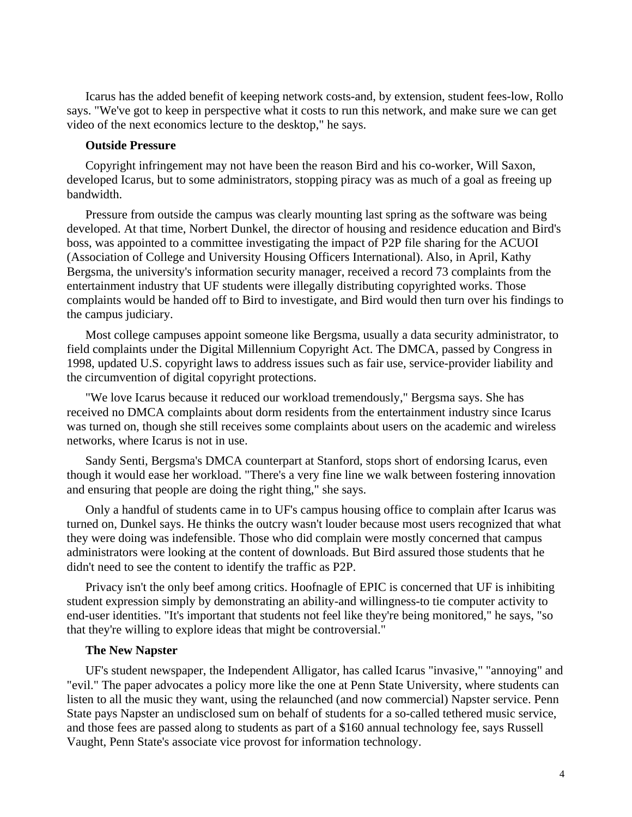Icarus has the added benefit of keeping network costs-and, by extension, student fees-low, Rollo says. "We've got to keep in perspective what it costs to run this network, and make sure we can get video of the next economics lecture to the desktop," he says.

#### **Outside Pressure**

Copyright infringement may not have been the reason Bird and his co-worker, Will Saxon, developed Icarus, but to some administrators, stopping piracy was as much of a goal as freeing up bandwidth.

Pressure from outside the campus was clearly mounting last spring as the software was being developed. At that time, Norbert Dunkel, the director of housing and residence education and Bird's boss, was appointed to a committee investigating the impact of P2P file sharing for the ACUOI (Association of College and University Housing Officers International). Also, in April, Kathy Bergsma, the university's information security manager, received a record 73 complaints from the entertainment industry that UF students were illegally distributing copyrighted works. Those complaints would be handed off to Bird to investigate, and Bird would then turn over his findings to the campus judiciary.

Most college campuses appoint someone like Bergsma, usually a data security administrator, to field complaints under the Digital Millennium Copyright Act. The DMCA, passed by Congress in 1998, updated U.S. copyright laws to address issues such as fair use, service-provider liability and the circumvention of digital copyright protections.

"We love Icarus because it reduced our workload tremendously," Bergsma says. She has received no DMCA complaints about dorm residents from the entertainment industry since Icarus was turned on, though she still receives some complaints about users on the academic and wireless networks, where Icarus is not in use.

Sandy Senti, Bergsma's DMCA counterpart at Stanford, stops short of endorsing Icarus, even though it would ease her workload. "There's a very fine line we walk between fostering innovation and ensuring that people are doing the right thing," she says.

Only a handful of students came in to UF's campus housing office to complain after Icarus was turned on, Dunkel says. He thinks the outcry wasn't louder because most users recognized that what they were doing was indefensible. Those who did complain were mostly concerned that campus administrators were looking at the content of downloads. But Bird assured those students that he didn't need to see the content to identify the traffic as P2P.

Privacy isn't the only beef among critics. Hoofnagle of EPIC is concerned that UF is inhibiting student expression simply by demonstrating an ability-and willingness-to tie computer activity to end-user identities. "It's important that students not feel like they're being monitored," he says, "so that they're willing to explore ideas that might be controversial."

## **The New Napster**

UF's student newspaper, the Independent Alligator, has called Icarus "invasive," "annoying" and "evil." The paper advocates a policy more like the one at Penn State University, where students can listen to all the music they want, using the relaunched (and now commercial) Napster service. Penn State pays Napster an undisclosed sum on behalf of students for a so-called tethered music service, and those fees are passed along to students as part of a \$160 annual technology fee, says Russell Vaught, Penn State's associate vice provost for information technology.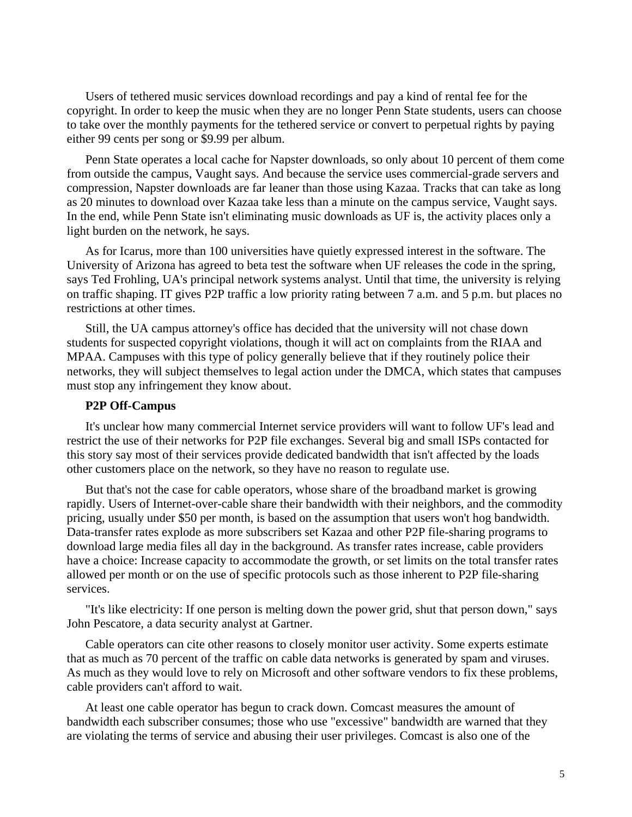Users of tethered music services download recordings and pay a kind of rental fee for the copyright. In order to keep the music when they are no longer Penn State students, users can choose to take over the monthly payments for the tethered service or convert to perpetual rights by paying either 99 cents per song or \$9.99 per album.

Penn State operates a local cache for Napster downloads, so only about 10 percent of them come from outside the campus, Vaught says. And because the service uses commercial-grade servers and compression, Napster downloads are far leaner than those using Kazaa. Tracks that can take as long as 20 minutes to download over Kazaa take less than a minute on the campus service, Vaught says. In the end, while Penn State isn't eliminating music downloads as UF is, the activity places only a light burden on the network, he says.

As for Icarus, more than 100 universities have quietly expressed interest in the software. The University of Arizona has agreed to beta test the software when UF releases the code in the spring, says Ted Frohling, UA's principal network systems analyst. Until that time, the university is relying on traffic shaping. IT gives P2P traffic a low priority rating between 7 a.m. and 5 p.m. but places no restrictions at other times.

Still, the UA campus attorney's office has decided that the university will not chase down students for suspected copyright violations, though it will act on complaints from the RIAA and MPAA. Campuses with this type of policy generally believe that if they routinely police their networks, they will subject themselves to legal action under the DMCA, which states that campuses must stop any infringement they know about.

## **P2P Off-Campus**

It's unclear how many commercial Internet service providers will want to follow UF's lead and restrict the use of their networks for P2P file exchanges. Several big and small ISPs contacted for this story say most of their services provide dedicated bandwidth that isn't affected by the loads other customers place on the network, so they have no reason to regulate use.

But that's not the case for cable operators, whose share of the broadband market is growing rapidly. Users of Internet-over-cable share their bandwidth with their neighbors, and the commodity pricing, usually under \$50 per month, is based on the assumption that users won't hog bandwidth. Data-transfer rates explode as more subscribers set Kazaa and other P2P file-sharing programs to download large media files all day in the background. As transfer rates increase, cable providers have a choice: Increase capacity to accommodate the growth, or set limits on the total transfer rates allowed per month or on the use of specific protocols such as those inherent to P2P file-sharing services.

"It's like electricity: If one person is melting down the power grid, shut that person down," says John Pescatore, a data security analyst at Gartner.

Cable operators can cite other reasons to closely monitor user activity. Some experts estimate that as much as 70 percent of the traffic on cable data networks is generated by spam and viruses. As much as they would love to rely on Microsoft and other software vendors to fix these problems, cable providers can't afford to wait.

At least one cable operator has begun to crack down. Comcast measures the amount of bandwidth each subscriber consumes; those who use "excessive" bandwidth are warned that they are violating the terms of service and abusing their user privileges. Comcast is also one of the